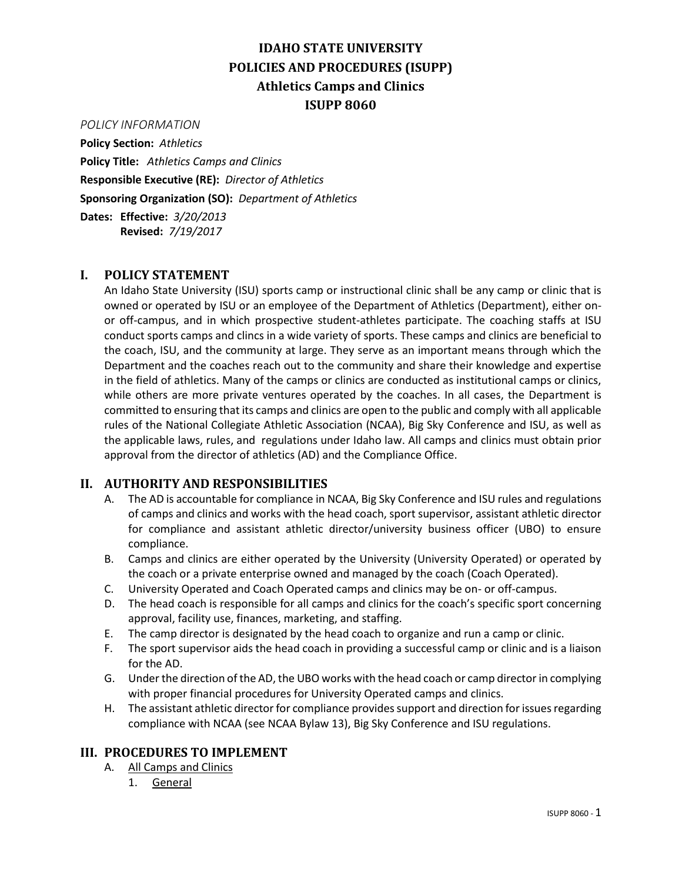# **IDAHO STATE UNIVERSITY POLICIES AND PROCEDURES (ISUPP) Athletics Camps and Clinics ISUPP 8060**

#### *POLICY INFORMATION*

**Policy Section:** *Athletics* **Policy Title:** *Athletics Camps and Clinics* **Responsible Executive (RE):** *Director of Athletics* **Sponsoring Organization (SO):** *Department of Athletics* **Dates: Effective:** *3/20/2013* **Revised:** *7/19/2017*

## **I. POLICY STATEMENT**

An Idaho State University (ISU) sports camp or instructional clinic shall be any camp or clinic that is owned or operated by ISU or an employee of the Department of Athletics (Department), either onor off-campus, and in which prospective student-athletes participate. The coaching staffs at ISU conduct sports camps and clincs in a wide variety of sports. These camps and clinics are beneficial to the coach, ISU, and the community at large. They serve as an important means through which the Department and the coaches reach out to the community and share their knowledge and expertise in the field of athletics. Many of the camps or clinics are conducted as institutional camps or clinics, while others are more private ventures operated by the coaches. In all cases, the Department is committed to ensuring that its camps and clinics are open to the public and comply with all applicable rules of the National Collegiate Athletic Association (NCAA), Big Sky Conference and ISU, as well as the applicable laws, rules, and regulations under Idaho law. All camps and clinics must obtain prior approval from the director of athletics (AD) and the Compliance Office.

### **II. AUTHORITY AND RESPONSIBILITIES**

- A. The AD is accountable for compliance in NCAA, Big Sky Conference and ISU rules and regulations of camps and clinics and works with the head coach, sport supervisor, assistant athletic director for compliance and assistant athletic director/university business officer (UBO) to ensure compliance.
- B. Camps and clinics are either operated by the University (University Operated) or operated by the coach or a private enterprise owned and managed by the coach (Coach Operated).
- C. University Operated and Coach Operated camps and clinics may be on- or off-campus.
- D. The head coach is responsible for all camps and clinics for the coach's specific sport concerning approval, facility use, finances, marketing, and staffing.
- E. The camp director is designated by the head coach to organize and run a camp or clinic.
- F. The sport supervisor aids the head coach in providing a successful camp or clinic and is a liaison for the AD.
- G. Under the direction of the AD, the UBO works with the head coach or camp director in complying with proper financial procedures for University Operated camps and clinics.
- H. The assistant athletic director for compliance provides support and direction for issues regarding compliance with NCAA (see NCAA Bylaw 13), Big Sky Conference and ISU regulations.

#### **III. PROCEDURES TO IMPLEMENT**

- A. All Camps and Clinics
	- 1. General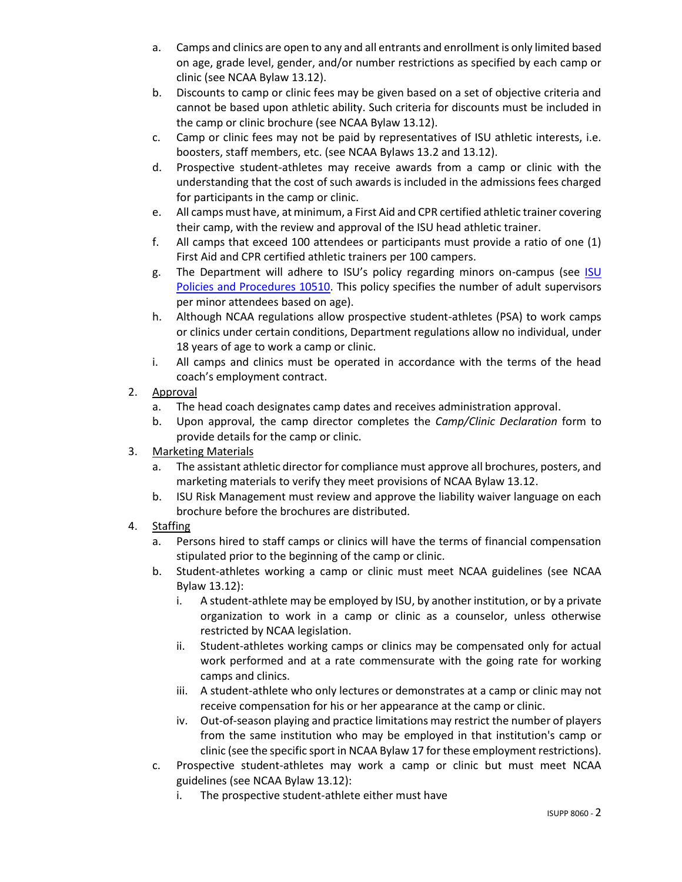- a. Camps and clinics are open to any and all entrants and enrollment is only limited based on age, grade level, gender, and/or number restrictions as specified by each camp or clinic (see NCAA Bylaw 13.12).
- b. Discounts to camp or clinic fees may be given based on a set of objective criteria and cannot be based upon athletic ability. Such criteria for discounts must be included in the camp or clinic brochure (see NCAA Bylaw 13.12).
- c. Camp or clinic fees may not be paid by representatives of ISU athletic interests, i.e. boosters, staff members, etc. (see NCAA Bylaws 13.2 and 13.12).
- d. Prospective student-athletes may receive awards from a camp or clinic with the understanding that the cost of such awards is included in the admissions fees charged for participants in the camp or clinic.
- e. All camps must have, at minimum, a First Aid and CPR certified athletic trainer covering their camp, with the review and approval of the ISU head athletic trainer.
- f. All camps that exceed 100 attendees or participants must provide a ratio of one (1) First Aid and CPR certified athletic trainers per 100 campers.
- g. The Department will adhere to ISU's policy regarding minors on-campus (see [ISU](https://www.isu.edu/media/libraries/isu-policies-and-procedures/governancex2flegal/10510-Minors-on-Campus8-14-16.pdf)  [Policies and Procedures 10510.](https://www.isu.edu/media/libraries/isu-policies-and-procedures/governancex2flegal/10510-Minors-on-Campus8-14-16.pdf) This policy specifies the number of adult supervisors per minor attendees based on age).
- h. Although NCAA regulations allow prospective student-athletes (PSA) to work camps or clinics under certain conditions, Department regulations allow no individual, under 18 years of age to work a camp or clinic.
- i. All camps and clinics must be operated in accordance with the terms of the head coach's employment contract.
- 2. Approval
	- a. The head coach designates camp dates and receives administration approval.
	- b. Upon approval, the camp director completes the *Camp/Clinic Declaration* form to provide details for the camp or clinic.
- 3. Marketing Materials
	- a. The assistant athletic director for compliance must approve all brochures, posters, and marketing materials to verify they meet provisions of NCAA Bylaw 13.12.
	- b. ISU Risk Management must review and approve the liability waiver language on each brochure before the brochures are distributed.
- 4. Staffing
	- a. Persons hired to staff camps or clinics will have the terms of financial compensation stipulated prior to the beginning of the camp or clinic.
	- b. Student-athletes working a camp or clinic must meet NCAA guidelines (see NCAA Bylaw 13.12):
		- i. A student-athlete may be employed by ISU, by another institution, or by a private organization to work in a camp or clinic as a counselor, unless otherwise restricted by NCAA legislation.
		- ii. Student-athletes working camps or clinics may be compensated only for actual work performed and at a rate commensurate with the going rate for working camps and clinics.
		- iii. A student-athlete who only lectures or demonstrates at a camp or clinic may not receive compensation for his or her appearance at the camp or clinic.
		- iv. Out-of-season playing and practice limitations may restrict the number of players from the same institution who may be employed in that institution's camp or clinic (see the specific sport in NCAA Bylaw 17 for these employment restrictions).
	- c. Prospective student-athletes may work a camp or clinic but must meet NCAA guidelines (see NCAA Bylaw 13.12):
		- i. The prospective student-athlete either must have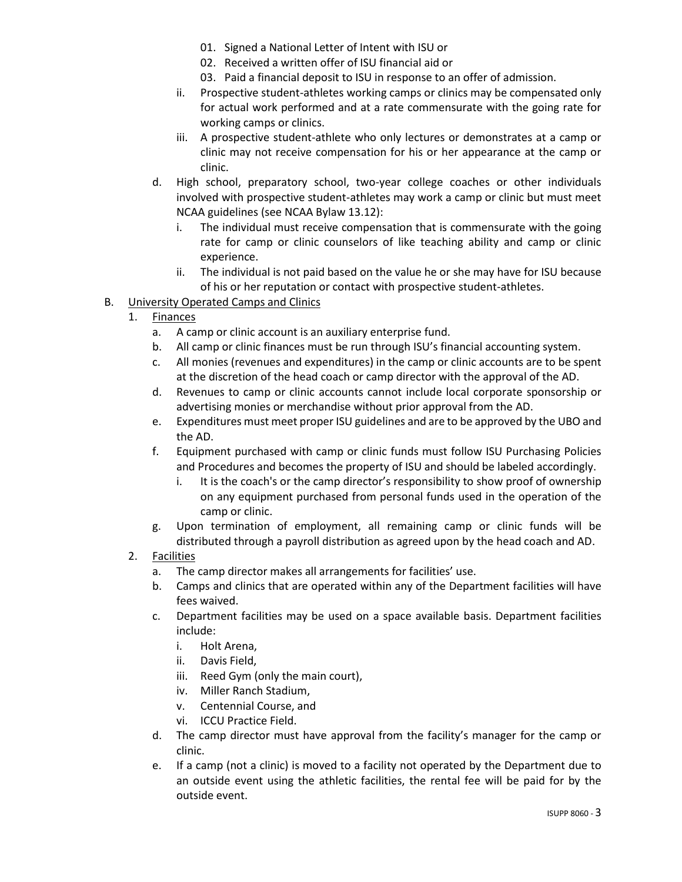- 01. Signed a National Letter of Intent with ISU or
- 02. Received a written offer of ISU financial aid or
- 03. Paid a financial deposit to ISU in response to an offer of admission.
- ii. Prospective student-athletes working camps or clinics may be compensated only for actual work performed and at a rate commensurate with the going rate for working camps or clinics.
- iii. A prospective student-athlete who only lectures or demonstrates at a camp or clinic may not receive compensation for his or her appearance at the camp or clinic.
- d. High school, preparatory school, two-year college coaches or other individuals involved with prospective student-athletes may work a camp or clinic but must meet NCAA guidelines (see NCAA Bylaw 13.12):
	- i. The individual must receive compensation that is commensurate with the going rate for camp or clinic counselors of like teaching ability and camp or clinic experience.
	- ii. The individual is not paid based on the value he or she may have for ISU because of his or her reputation or contact with prospective student-athletes.
- B. University Operated Camps and Clinics
	- 1. Finances
		- a. A camp or clinic account is an auxiliary enterprise fund.
		- b. All camp or clinic finances must be run through ISU's financial accounting system.
		- c. All monies (revenues and expenditures) in the camp or clinic accounts are to be spent at the discretion of the head coach or camp director with the approval of the AD.
		- d. Revenues to camp or clinic accounts cannot include local corporate sponsorship or advertising monies or merchandise without prior approval from the AD.
		- e. Expenditures must meet proper ISU guidelines and are to be approved by the UBO and the AD.
		- f. Equipment purchased with camp or clinic funds must follow ISU Purchasing Policies and Procedures and becomes the property of ISU and should be labeled accordingly.
			- i. It is the coach's or the camp director's responsibility to show proof of ownership on any equipment purchased from personal funds used in the operation of the camp or clinic.
		- g. Upon termination of employment, all remaining camp or clinic funds will be distributed through a payroll distribution as agreed upon by the head coach and AD.
	- 2. Facilities
		- a. The camp director makes all arrangements for facilities' use.
		- b. Camps and clinics that are operated within any of the Department facilities will have fees waived.
		- c. Department facilities may be used on a space available basis. Department facilities include:
			- i. Holt Arena,
			- ii. Davis Field,
			- iii. Reed Gym (only the main court),
			- iv. Miller Ranch Stadium,
			- v. Centennial Course, and
			- vi. ICCU Practice Field.
		- d. The camp director must have approval from the facility's manager for the camp or clinic.
		- e. If a camp (not a clinic) is moved to a facility not operated by the Department due to an outside event using the athletic facilities, the rental fee will be paid for by the outside event.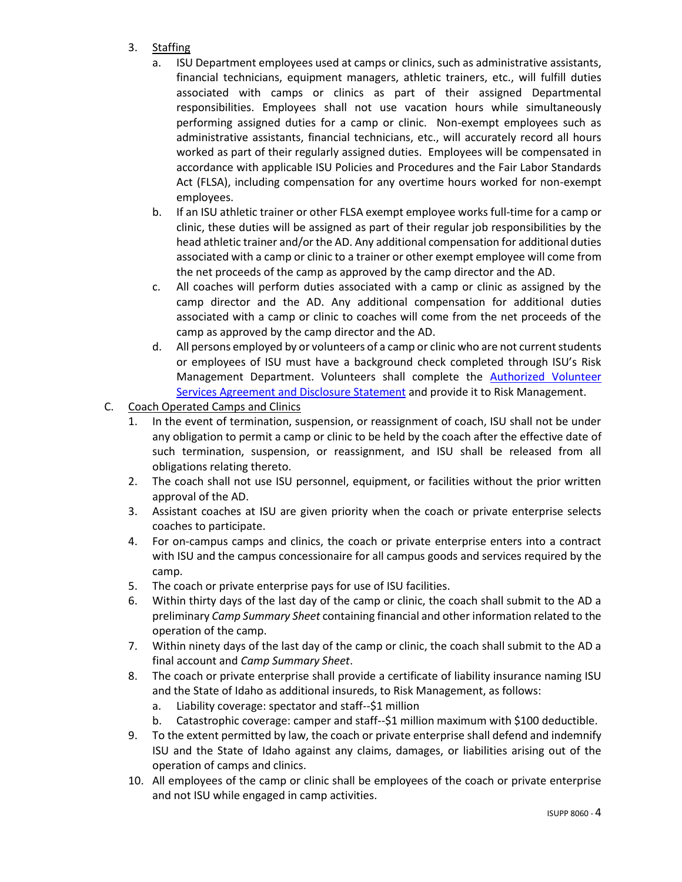- 3. Staffing
	- a. ISU Department employees used at camps or clinics, such as administrative assistants, financial technicians, equipment managers, athletic trainers, etc., will fulfill duties associated with camps or clinics as part of their assigned Departmental responsibilities. Employees shall not use vacation hours while simultaneously performing assigned duties for a camp or clinic. Non-exempt employees such as administrative assistants, financial technicians, etc., will accurately record all hours worked as part of their regularly assigned duties. Employees will be compensated in accordance with applicable ISU Policies and Procedures and the Fair Labor Standards Act (FLSA), including compensation for any overtime hours worked for non-exempt employees.
	- b. If an ISU athletic trainer or other FLSA exempt employee works full-time for a camp or clinic, these duties will be assigned as part of their regular job responsibilities by the head athletic trainer and/or the AD. Any additional compensation for additional duties associated with a camp or clinic to a trainer or other exempt employee will come from the net proceeds of the camp as approved by the camp director and the AD.
	- c. All coaches will perform duties associated with a camp or clinic as assigned by the camp director and the AD. Any additional compensation for additional duties associated with a camp or clinic to coaches will come from the net proceeds of the camp as approved by the camp director and the AD.
	- d. All persons employed by or volunteers of a camp or clinic who are not current students or employees of ISU must have a background check completed through ISU's Risk Management Department. Volunteers shall complete the [Authorized Volunteer](https://www.isu.edu/media/libraries/general-counsel/Auth-Volunteer-Svc-Agreement.pdf)  [Services Agreement and Disclosure Statement](https://www.isu.edu/media/libraries/general-counsel/Auth-Volunteer-Svc-Agreement.pdf) and provide it to Risk Management.
- C. Coach Operated Camps and Clinics
	- 1. In the event of termination, suspension, or reassignment of coach, ISU shall not be under any obligation to permit a camp or clinic to be held by the coach after the effective date of such termination, suspension, or reassignment, and ISU shall be released from all obligations relating thereto.
	- 2. The coach shall not use ISU personnel, equipment, or facilities without the prior written approval of the AD.
	- 3. Assistant coaches at ISU are given priority when the coach or private enterprise selects coaches to participate.
	- 4. For on-campus camps and clinics, the coach or private enterprise enters into a contract with ISU and the campus concessionaire for all campus goods and services required by the camp.
	- 5. The coach or private enterprise pays for use of ISU facilities.
	- 6. Within thirty days of the last day of the camp or clinic, the coach shall submit to the AD a preliminary *Camp Summary Sheet* containing financial and other information related to the operation of the camp.
	- 7. Within ninety days of the last day of the camp or clinic, the coach shall submit to the AD a final account and *Camp Summary Sheet*.
	- 8. The coach or private enterprise shall provide a certificate of liability insurance naming ISU and the State of Idaho as additional insureds, to Risk Management, as follows:
		- a. Liability coverage: spectator and staff--\$1 million
		- b. Catastrophic coverage: camper and staff--\$1 million maximum with \$100 deductible.
	- 9. To the extent permitted by law, the coach or private enterprise shall defend and indemnify ISU and the State of Idaho against any claims, damages, or liabilities arising out of the operation of camps and clinics.
	- 10. All employees of the camp or clinic shall be employees of the coach or private enterprise and not ISU while engaged in camp activities.